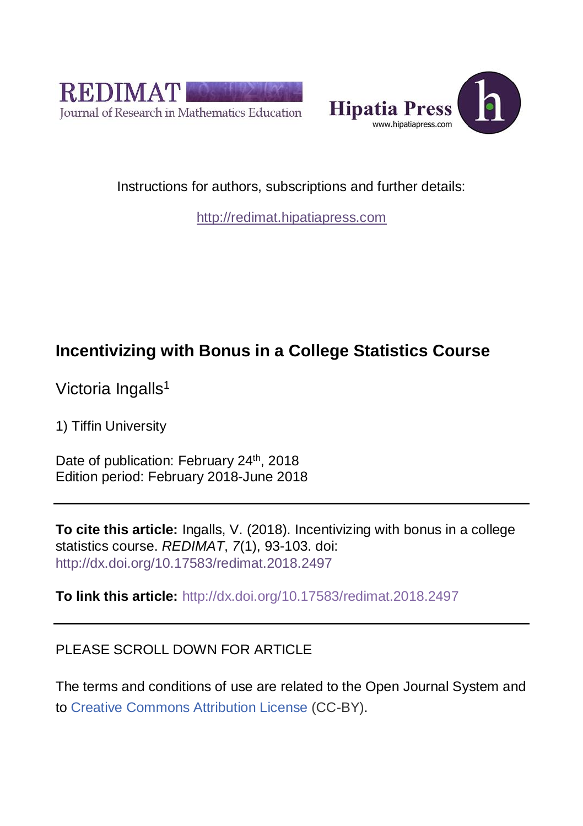



Instructions for authors, subscriptions and further details:

[http://redimat.hipatiapress.com](http://redimat.hipatiapress.com/)

# **Incentivizing with Bonus in a College Statistics Course**

Victoria Ingalls<sup>1</sup>

1) Tiffin University

Date of publication: February 24<sup>th</sup>, 2018 Edition period: February 2018-June 2018

**To cite this article:** Ingalls, V. (2018). Incentivizing with bonus in a college statistics course. *REDIMAT*, *7*(1), 93-103. doi: <http://dx.doi.org/10.17583/redimat.2018.2497>

**To link this article:** <http://dx.doi.org/10.17583/redimat.2018.2497>

# PLEASE SCROLL DOWN FOR ARTICLE

The terms and conditions of use are related to the Open Journal System and to [Creative Commons Attribution License](http://creativecommons.org/licenses/by/4.0/) (CC-BY).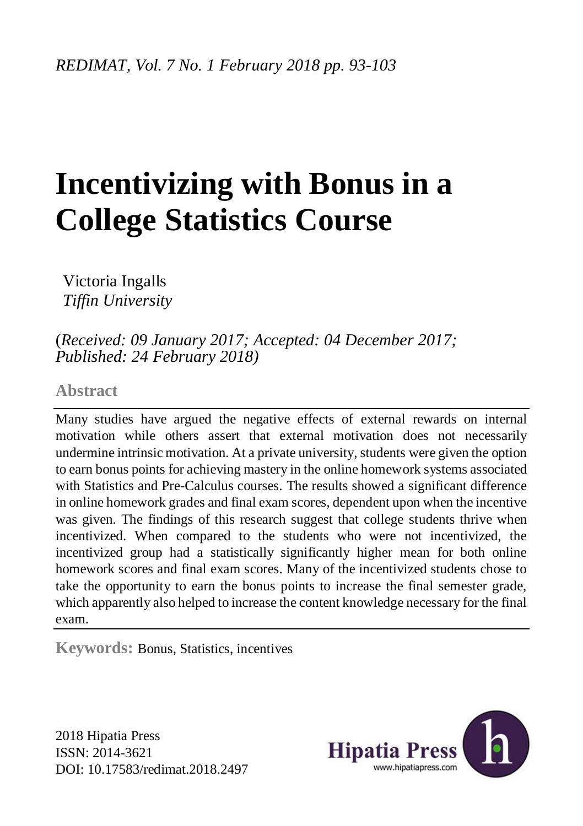# **Incentivizing with Bonus in a College Statistics Course**

Victoria Ingalls *Tiffin University*

(*Received: 09 January 2017; Accepted: 04 December 2017; Published: 24 February 2018)*

# **Abstract**

Many studies have argued the negative effects of external rewards on internal motivation while others assert that external motivation does not necessarily undermine intrinsic motivation. At a private university, students were given the option to earn bonus points for achieving mastery in the online homework systems associated with Statistics and Pre-Calculus courses. The results showed a significant difference in online homework grades and final exam scores, dependent upon when the incentive was given. The findings of this research suggest that college students thrive when incentivized. When compared to the students who were not incentivized, the incentivized group had a statistically significantly higher mean for both online homework scores and final exam scores. Many of the incentivized students chose to take the opportunity to earn the bonus points to increase the final semester grade, which apparently also helped to increase the content knowledge necessary for the final exam.

**Keywords:** Bonus, Statistics, incentives

2018 Hipatia Press ISSN: 2014-3621 DOI: [10.17583/redimat.2018.2497](http://dx.doi.org/10.17583/redimat.2018.2497)

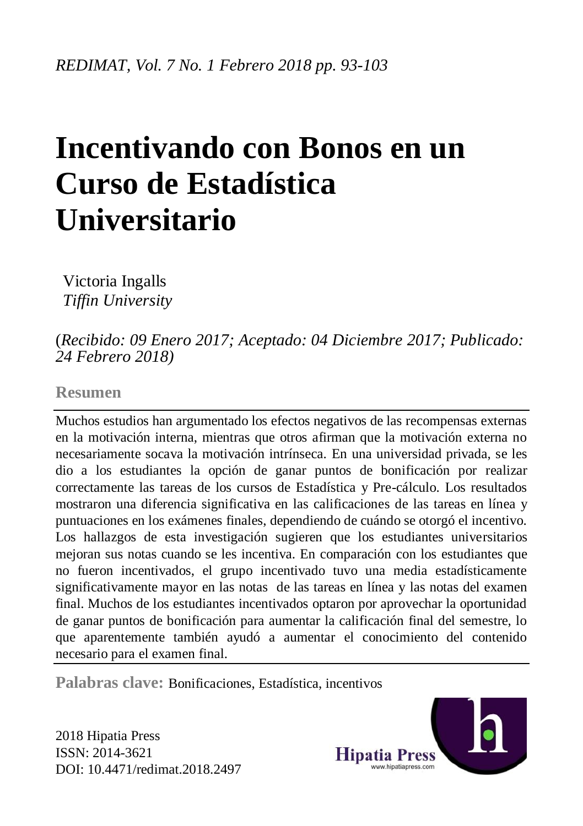# **Incentivando con Bonos en un Curso de Estadística Universitario**

Victoria Ingalls *Tiffin University*

# (*Recibido: 09 Enero 2017; Aceptado: 04 Diciembre 2017; Publicado: 24 Febrero 2018)*

## **Resumen**

Muchos estudios han argumentado los efectos negativos de las recompensas externas en la motivación interna, mientras que otros afirman que la motivación externa no necesariamente socava la motivación intrínseca. En una universidad privada, se les dio a los estudiantes la opción de ganar puntos de bonificación por realizar correctamente las tareas de los cursos de Estadística y Pre-cálculo. Los resultados mostraron una diferencia significativa en las calificaciones de las tareas en línea y puntuaciones en los exámenes finales, dependiendo de cuándo se otorgó el incentivo. Los hallazgos de esta investigación sugieren que los estudiantes universitarios mejoran sus notas cuando se les incentiva. En comparación con los estudiantes que no fueron incentivados, el grupo incentivado tuvo una media estadísticamente significativamente mayor en las notas de las tareas en línea y las notas del examen final. Muchos de los estudiantes incentivados optaron por aprovechar la oportunidad de ganar puntos de bonificación para aumentar la calificación final del semestre, lo que aparentemente también ayudó a aumentar el conocimiento del contenido necesario para el examen final.

**Palabras clave:** Bonificaciones, Estadística, incentivos

2018 Hipatia Press ISSN: 2014-3621 DOI: [10.4471/redimat.2018.2497](http://dx.doi.org/10.4471/redimat.2018.2497)

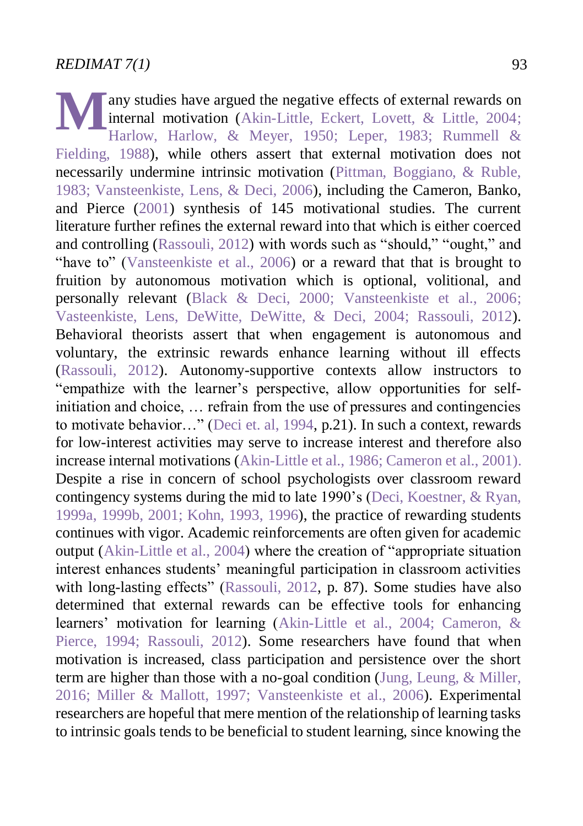any studies have argued the negative effects of external rewards on internal motivation [\(Akin-Little, Eckert, Lovett, & Little, 2004;](#page-10-0) [Harlow, Harlow, & Meyer, 1950;](#page-11-0) [Leper, 1983;](#page-11-1) [Rummell &](#page-12-0)  [Fielding, 1988\)](#page-12-0), while others assert that external motivation does not necessarily undermine intrinsic motivation [\(Pittman, Boggiano, & Ruble,](#page-12-1)  [1983;](#page-12-1) [Vansteenkiste, Lens, & Deci, 2006\)](#page-12-2), including the Cameron, Banko, and Pierce [\(2001\)](#page-10-1) synthesis of 145 motivational studies. The current literature further refines the external reward into that which is either coerced and controlling [\(Rassouli, 2012\)](#page-12-3) with words such as "should," "ought," and "have to" [\(Vansteenkiste et al., 2006\)](#page-12-2) or a reward that that is brought to fruition by autonomous motivation which is optional, volitional, and personally relevant [\(Black & Deci, 2000;](#page-10-2) [Vansteenkiste et al., 2006;](#page-12-2) [Vasteenkiste, Lens, DeWitte, DeWitte, & Deci, 2004;](#page-12-4) [Rassouli, 2012\)](#page-12-3). Behavioral theorists assert that when engagement is autonomous and voluntary, the extrinsic rewards enhance learning without ill effects [\(Rassouli, 2012\)](#page-12-3). Autonomy-supportive contexts allow instructors to "empathize with the learner's perspective, allow opportunities for selfinitiation and choice, … refrain from the use of pressures and contingencies to motivate behavior…" [\(Deci et. al, 1994,](#page-10-3) p.21). In such a context, rewards for low-interest activities may serve to increase interest and therefore also increase internal motivations [\(Akin-Little et al., 1986;](#page-10-0) [Cameron et al., 2001\)](#page-10-1). Despite a rise in concern of school psychologists over classroom reward contingency systems during the mid to late 1990's [\(Deci, Koestner, & Ryan,](#page-11-2)  [1999a,](#page-11-2) [1999b,](#page-11-3) [2001;](#page-11-4) [Kohn, 1993,](#page-11-5) [1996\)](#page-11-6), the practice of rewarding students continues with vigor. Academic reinforcements are often given for academic output [\(Akin-Little et al., 2004\)](#page-10-0) where the creation of "appropriate situation interest enhances students' meaningful participation in classroom activities with long-lasting effects" [\(Rassouli, 2012,](#page-12-3) p. 87). Some studies have also determined that external rewards can be effective tools for enhancing learners' motivation for learning [\(Akin-Little et al., 2004;](#page-10-0) [Cameron, &](#page-10-4)  [Pierce, 1994;](#page-10-4) [Rassouli, 2012\)](#page-12-3). Some researchers have found that when motivation is increased, class participation and persistence over the short term are higher than those with a no-goal condition [\(Jung, Leung, & Miller,](#page-11-7)  [2016;](#page-11-7) [Miller & Mallott, 1997;](#page-11-8) [Vansteenkiste et al., 2006\)](#page-12-2). Experimental researchers are hopeful that mere mention of the relationship of learning tasks to intrinsic goals tends to be beneficial to student learning, since knowing the **M**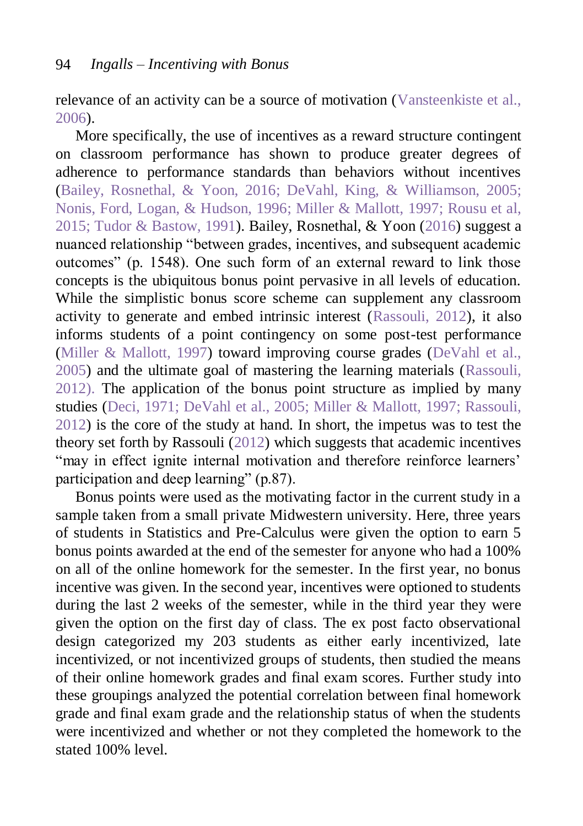relevance of an activity can be a source of motivation [\(Vansteenkiste et al.,](#page-12-2)  [2006\)](#page-12-2).

More specifically, the use of incentives as a reward structure contingent on classroom performance has shown to produce greater degrees of adherence to performance standards than behaviors without incentives [\(Bailey, Rosnethal, & Yoon, 2016;](#page-10-5) DeVahl, King, & [Williamson, 2005;](#page-11-9) [Nonis, Ford, Logan, & Hudson, 1996;](#page-11-10) [Miller & Mallott, 1997;](#page-11-8) [Rousu et al,](#page-12-5)  [2015;](#page-12-5) [Tudor & Bastow, 1991\)](#page-12-6). Bailey, Rosnethal, & Yoon [\(2016\)](#page-10-5) suggest a nuanced relationship "between grades, incentives, and subsequent academic outcomes" (p. 1548). One such form of an external reward to link those concepts is the ubiquitous bonus point pervasive in all levels of education. While the simplistic bonus score scheme can supplement any classroom activity to generate and embed intrinsic interest [\(Rassouli, 2012\)](#page-12-3), it also informs students of a point contingency on some post-test performance [\(Miller & Mallott, 1997\)](#page-11-8) toward improving course grades [\(DeVahl et al.,](#page-11-9)  [2005\)](#page-11-9) and the ultimate goal of mastering the learning materials [\(Rassouli,](#page-12-3)  [2012\)](#page-12-3). The application of the bonus point structure as implied by many studies [\(Deci, 1971;](#page-10-6) [DeVahl et al., 2005;](#page-11-9) [Miller & Mallott, 1997;](#page-11-8) [Rassouli,](#page-12-3)  [2012\)](#page-12-3) is the core of the study at hand. In short, the impetus was to test the theory set forth by Rassouli [\(2012\)](#page-12-3) which suggests that academic incentives "may in effect ignite internal motivation and therefore reinforce learners' participation and deep learning" (p.87).

Bonus points were used as the motivating factor in the current study in a sample taken from a small private Midwestern university. Here, three years of students in Statistics and Pre-Calculus were given the option to earn 5 bonus points awarded at the end of the semester for anyone who had a 100% on all of the online homework for the semester. In the first year, no bonus incentive was given. In the second year, incentives were optioned to students during the last 2 weeks of the semester, while in the third year they were given the option on the first day of class. The ex post facto observational design categorized my 203 students as either early incentivized, late incentivized, or not incentivized groups of students, then studied the means of their online homework grades and final exam scores. Further study into these groupings analyzed the potential correlation between final homework grade and final exam grade and the relationship status of when the students were incentivized and whether or not they completed the homework to the stated 100% level.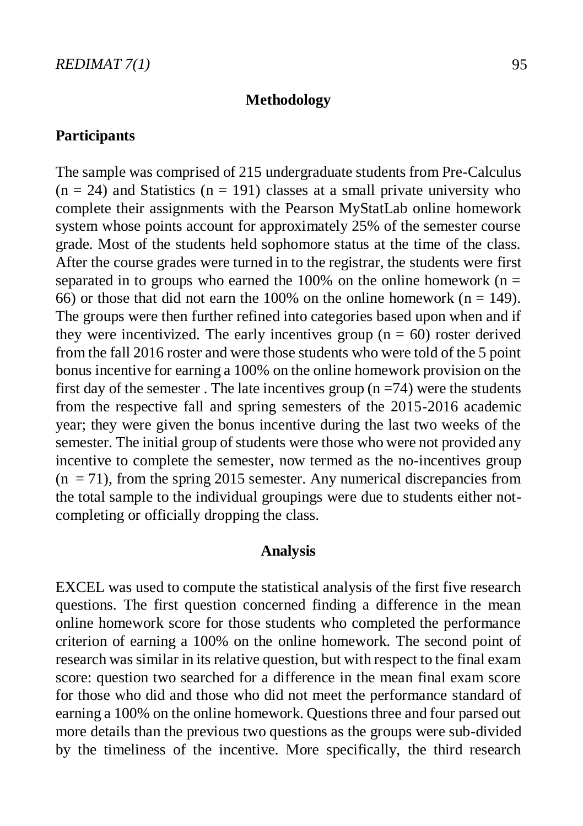### **Methodology**

### **Participants**

The sample was comprised of 215 undergraduate students from Pre-Calculus  $(n = 24)$  and Statistics  $(n = 191)$  classes at a small private university who complete their assignments with the Pearson MyStatLab online homework system whose points account for approximately 25% of the semester course grade. Most of the students held sophomore status at the time of the class. After the course grades were turned in to the registrar, the students were first separated in to groups who earned the 100% on the online homework ( $n =$ 66) or those that did not earn the 100% on the online homework ( $n = 149$ ). The groups were then further refined into categories based upon when and if they were incentivized. The early incentives group ( $n = 60$ ) roster derived from the fall 2016 roster and were those students who were told of the 5 point bonus incentive for earning a 100% on the online homework provision on the first day of the semester. The late incentives group  $(n = 74)$  were the students from the respective fall and spring semesters of the 2015-2016 academic year; they were given the bonus incentive during the last two weeks of the semester. The initial group of students were those who were not provided any incentive to complete the semester, now termed as the no-incentives group  $(n = 71)$ , from the spring 2015 semester. Any numerical discrepancies from the total sample to the individual groupings were due to students either notcompleting or officially dropping the class.

#### **Analysis**

EXCEL was used to compute the statistical analysis of the first five research questions. The first question concerned finding a difference in the mean online homework score for those students who completed the performance criterion of earning a 100% on the online homework. The second point of research was similar in its relative question, but with respect to the final exam score: question two searched for a difference in the mean final exam score for those who did and those who did not meet the performance standard of earning a 100% on the online homework. Questions three and four parsed out more details than the previous two questions as the groups were sub-divided by the timeliness of the incentive. More specifically, the third research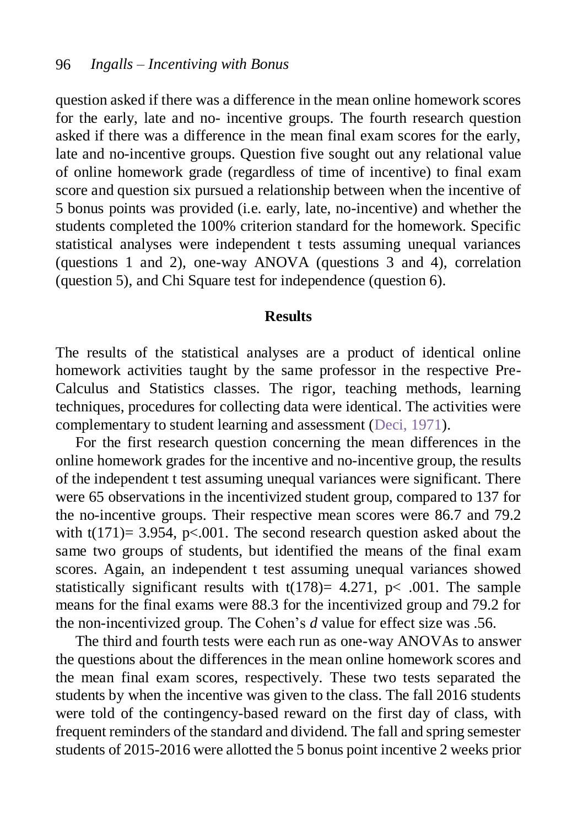question asked if there was a difference in the mean online homework scores for the early, late and no- incentive groups. The fourth research question asked if there was a difference in the mean final exam scores for the early, late and no-incentive groups. Question five sought out any relational value of online homework grade (regardless of time of incentive) to final exam score and question six pursued a relationship between when the incentive of 5 bonus points was provided (i.e. early, late, no-incentive) and whether the students completed the 100% criterion standard for the homework. Specific statistical analyses were independent t tests assuming unequal variances (questions 1 and 2), one-way ANOVA (questions 3 and 4), correlation (question 5), and Chi Square test for independence (question 6).

#### **Results**

The results of the statistical analyses are a product of identical online homework activities taught by the same professor in the respective Pre-Calculus and Statistics classes. The rigor, teaching methods, learning techniques, procedures for collecting data were identical. The activities were complementary to student learning and assessment [\(Deci, 1971\)](#page-10-6).

For the first research question concerning the mean differences in the online homework grades for the incentive and no-incentive group, the results of the independent t test assuming unequal variances were significant. There were 65 observations in the incentivized student group, compared to 137 for the no-incentive groups. Their respective mean scores were 86.7 and 79.2 with  $t(171)= 3.954$ , p<.001. The second research question asked about the same two groups of students, but identified the means of the final exam scores. Again, an independent t test assuming unequal variances showed statistically significant results with  $t(178)= 4.271$ , p< .001. The sample means for the final exams were 88.3 for the incentivized group and 79.2 for the non-incentivized group. The Cohen's *d* value for effect size was .56.

The third and fourth tests were each run as one-way ANOVAs to answer the questions about the differences in the mean online homework scores and the mean final exam scores, respectively. These two tests separated the students by when the incentive was given to the class. The fall 2016 students were told of the contingency-based reward on the first day of class, with frequent reminders of the standard and dividend. The fall and spring semester students of 2015-2016 were allotted the 5 bonus point incentive 2 weeks prior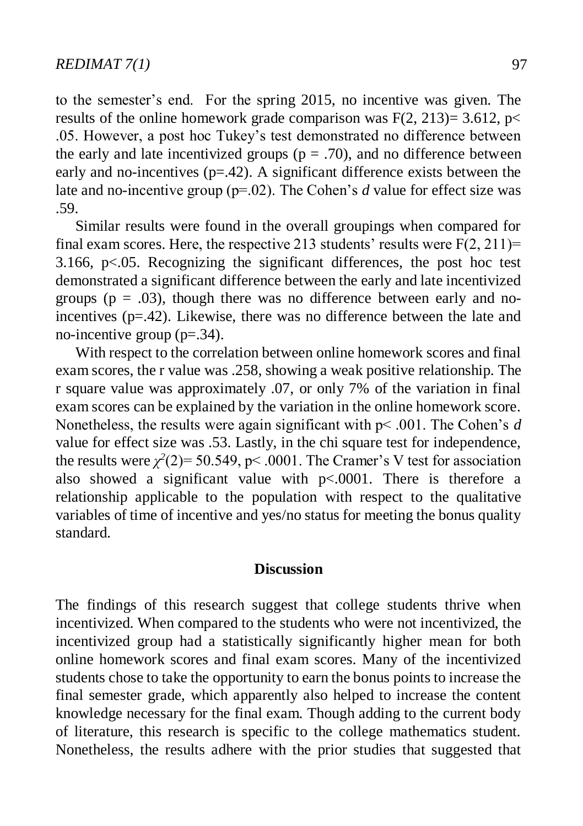to the semester's end. For the spring 2015, no incentive was given. The results of the online homework grade comparison was  $F(2, 213)=3.612$ , p< .05. However, a post hoc Tukey's test demonstrated no difference between the early and late incentivized groups ( $p = .70$ ), and no difference between early and no-incentives ( $p=42$ ). A significant difference exists between the late and no-incentive group (p=.02). The Cohen's *d* value for effect size was .59.

Similar results were found in the overall groupings when compared for final exam scores. Here, the respective 213 students' results were  $F(2, 211) =$ 3.166,  $p<0.05$ . Recognizing the significant differences, the post hoc test demonstrated a significant difference between the early and late incentivized groups ( $p = .03$ ), though there was no difference between early and noincentives  $(p=42)$ . Likewise, there was no difference between the late and no-incentive group  $(p=0.34)$ .

With respect to the correlation between online homework scores and final exam scores, the r value was .258, showing a weak positive relationship. The r square value was approximately .07, or only 7% of the variation in final exam scores can be explained by the variation in the online homework score. Nonetheless, the results were again significant with p< .001. The Cohen's *d* value for effect size was .53. Lastly, in the chi square test for independence, the results were  $\chi^2(2)$ = 50.549, p < .0001. The Cramer's V test for association also showed a significant value with p<.0001. There is therefore a relationship applicable to the population with respect to the qualitative variables of time of incentive and yes/no status for meeting the bonus quality standard.

#### **Discussion**

The findings of this research suggest that college students thrive when incentivized. When compared to the students who were not incentivized, the incentivized group had a statistically significantly higher mean for both online homework scores and final exam scores. Many of the incentivized students chose to take the opportunity to earn the bonus points to increase the final semester grade, which apparently also helped to increase the content knowledge necessary for the final exam. Though adding to the current body of literature, this research is specific to the college mathematics student. Nonetheless, the results adhere with the prior studies that suggested that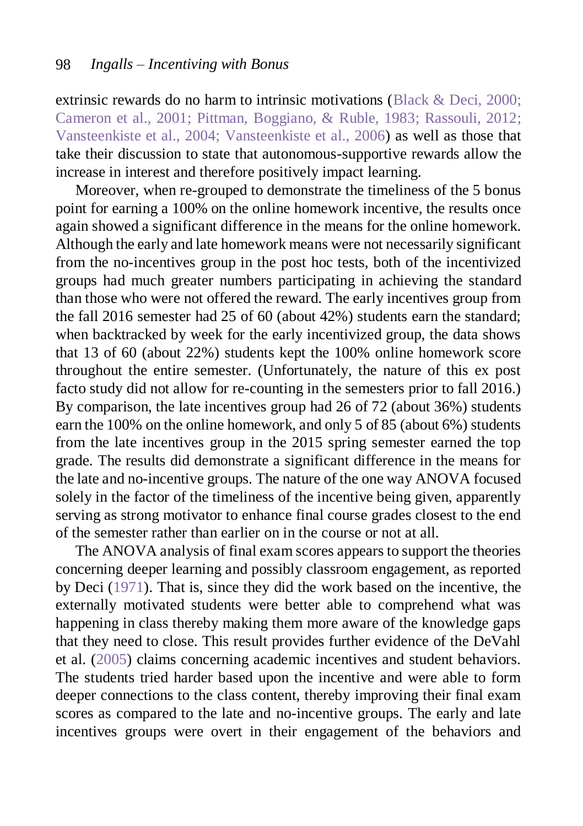extrinsic rewards do no harm to intrinsic motivations [\(Black & Deci, 2000;](#page-10-2) [Cameron et al., 2001;](#page-10-1) [Pittman, Boggiano, & Ruble, 1983;](#page-12-1) [Rassouli, 2012;](#page-12-3) [Vansteenkiste et al., 2004;](#page-12-4) [Vansteenkiste et al., 2006\)](#page-12-2) as well as those that take their discussion to state that autonomous-supportive rewards allow the increase in interest and therefore positively impact learning.

Moreover, when re-grouped to demonstrate the timeliness of the 5 bonus point for earning a 100% on the online homework incentive, the results once again showed a significant difference in the means for the online homework. Although the early and late homework means were not necessarily significant from the no-incentives group in the post hoc tests, both of the incentivized groups had much greater numbers participating in achieving the standard than those who were not offered the reward. The early incentives group from the fall 2016 semester had 25 of 60 (about 42%) students earn the standard; when backtracked by week for the early incentivized group, the data shows that 13 of 60 (about 22%) students kept the 100% online homework score throughout the entire semester. (Unfortunately, the nature of this ex post facto study did not allow for re-counting in the semesters prior to fall 2016.) By comparison, the late incentives group had 26 of 72 (about 36%) students earn the 100% on the online homework, and only 5 of 85 (about 6%) students from the late incentives group in the 2015 spring semester earned the top grade. The results did demonstrate a significant difference in the means for the late and no-incentive groups. The nature of the one way ANOVA focused solely in the factor of the timeliness of the incentive being given, apparently serving as strong motivator to enhance final course grades closest to the end of the semester rather than earlier on in the course or not at all.

The ANOVA analysis of final exam scores appears to support the theories concerning deeper learning and possibly classroom engagement, as reported by Deci [\(1971\)](#page-10-6). That is, since they did the work based on the incentive, the externally motivated students were better able to comprehend what was happening in class thereby making them more aware of the knowledge gaps that they need to close. This result provides further evidence of the DeVahl et al. [\(2005\)](#page-11-9) claims concerning academic incentives and student behaviors. The students tried harder based upon the incentive and were able to form deeper connections to the class content, thereby improving their final exam scores as compared to the late and no-incentive groups. The early and late incentives groups were overt in their engagement of the behaviors and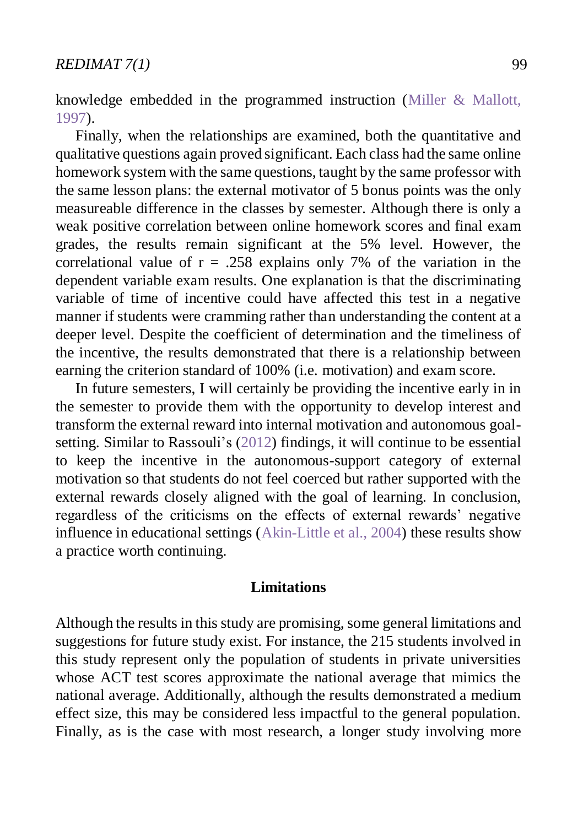knowledge embedded in the programmed instruction [\(Miller & Mallott,](#page-11-8)  [1997\)](#page-11-8).

Finally, when the relationships are examined, both the quantitative and qualitative questions again proved significant. Each class had the same online homework system with the same questions, taught by the same professor with the same lesson plans: the external motivator of 5 bonus points was the only measureable difference in the classes by semester. Although there is only a weak positive correlation between online homework scores and final exam grades, the results remain significant at the 5% level. However, the correlational value of  $r = .258$  explains only 7% of the variation in the dependent variable exam results. One explanation is that the discriminating variable of time of incentive could have affected this test in a negative manner if students were cramming rather than understanding the content at a deeper level. Despite the coefficient of determination and the timeliness of the incentive, the results demonstrated that there is a relationship between earning the criterion standard of 100% (i.e. motivation) and exam score.

In future semesters, I will certainly be providing the incentive early in in the semester to provide them with the opportunity to develop interest and transform the external reward into internal motivation and autonomous goalsetting. Similar to Rassouli's [\(2012\)](#page-12-3) findings, it will continue to be essential to keep the incentive in the autonomous-support category of external motivation so that students do not feel coerced but rather supported with the external rewards closely aligned with the goal of learning. In conclusion, regardless of the criticisms on the effects of external rewards' negative influence in educational settings [\(Akin-Little et al., 2004\)](#page-10-0) these results show a practice worth continuing.

#### **Limitations**

Although the results in this study are promising, some general limitations and suggestions for future study exist. For instance, the 215 students involved in this study represent only the population of students in private universities whose ACT test scores approximate the national average that mimics the national average. Additionally, although the results demonstrated a medium effect size, this may be considered less impactful to the general population. Finally, as is the case with most research, a longer study involving more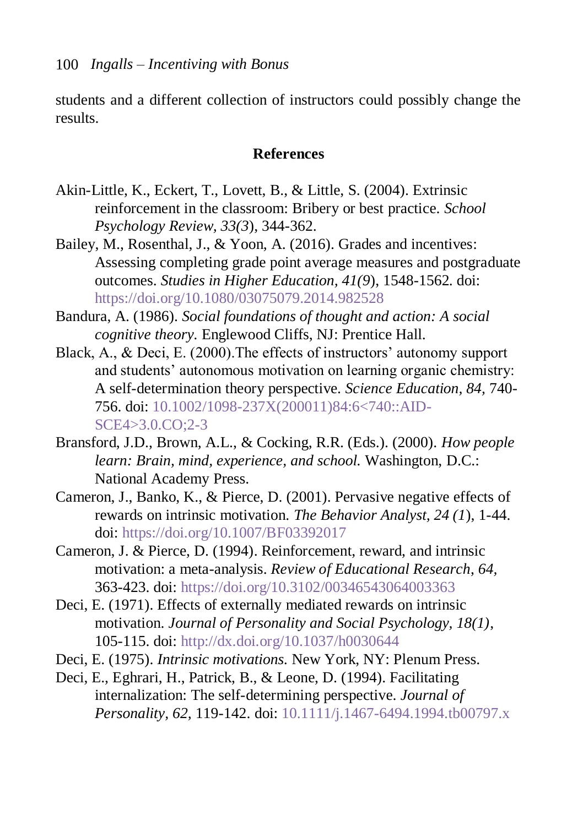students and a different collection of instructors could possibly change the results.

#### **References**

- <span id="page-10-0"></span>Akin-Little, K., Eckert, T., Lovett, B., & Little, S. (2004). Extrinsic reinforcement in the classroom: Bribery or best practice. *School Psychology Review, 33(3*), 344-362.
- <span id="page-10-5"></span>Bailey, M., Rosenthal, J., & Yoon, A. (2016). Grades and incentives: Assessing completing grade point average measures and postgraduate outcomes. *Studies in Higher Education, 41(9*), 1548-1562. doi: <https://doi.org/10.1080/03075079.2014.982528>
- Bandura, A. (1986). *Social foundations of thought and action: A social cognitive theory.* Englewood Cliffs, NJ: Prentice Hall.
- <span id="page-10-2"></span>Black, A., & Deci, E. (2000).The effects of instructors' autonomy support and students' autonomous motivation on learning organic chemistry: A self-determination theory perspective. *Science Education, 84,* 740- 756. doi: [10.1002/1098-237X\(200011\)84:6<740::AID-](http://onlinelibrary.wiley.com/doi/10.1002/1098-237X(200011)84:6%3C740::AID-SCE4%3E3.0.CO;2-3/full)[SCE4>3.0.CO;2-3](http://onlinelibrary.wiley.com/doi/10.1002/1098-237X(200011)84:6%3C740::AID-SCE4%3E3.0.CO;2-3/full)
- Bransford, J.D., Brown, A.L., & Cocking, R.R. (Eds.). (2000). *How people learn: Brain, mind, experience, and school.* Washington, D.C.: National Academy Press.
- <span id="page-10-1"></span>Cameron, J., Banko, K., & Pierce, D. (2001). Pervasive negative effects of rewards on intrinsic motivation. *The Behavior Analyst, 24 (1*), 1-44. doi:<https://doi.org/10.1007/BF03392017>
- <span id="page-10-4"></span>Cameron, J. & Pierce, D. (1994). Reinforcement, reward, and intrinsic motivation: a meta-analysis. *Review of Educational Research*, *64,* 363-423. doi:<https://doi.org/10.3102/00346543064003363>
- <span id="page-10-6"></span>Deci, E. (1971). Effects of externally mediated rewards on intrinsic motivation. *Journal of Personality and Social Psychology, 18(1)*, 105-115. doi:<http://dx.doi.org/10.1037/h0030644>
- Deci, E. (1975). *Intrinsic motivations.* New York, NY: Plenum Press.
- <span id="page-10-3"></span>Deci, E., Eghrari, H., Patrick, B., & Leone, D. (1994). Facilitating internalization: The self-determining perspective. *Journal of Personality, 62,* 119-142. doi: [10.1111/j.1467-6494.1994.tb00797.x](http://onlinelibrary.wiley.com/doi/10.1111/j.1467-6494.1994.tb00797.x/full)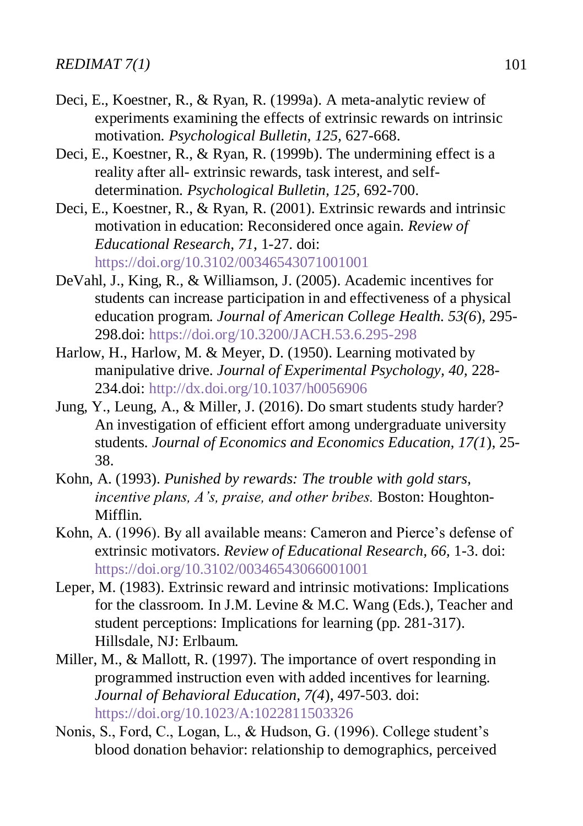- <span id="page-11-2"></span>Deci, E., Koestner, R., & Ryan, R. (1999a). A meta-analytic review of experiments examining the effects of extrinsic rewards on intrinsic motivation. *Psychological Bulletin, 125,* 627-668.
- <span id="page-11-3"></span>Deci, E., Koestner, R., & Ryan, R. (1999b). The undermining effect is a reality after all- extrinsic rewards, task interest, and selfdetermination. *Psychological Bulletin, 125,* 692-700.
- <span id="page-11-4"></span>Deci, E., Koestner, R., & Ryan, R. (2001). Extrinsic rewards and intrinsic motivation in education: Reconsidered once again. *Review of Educational Research, 71*, 1-27. doi: <https://doi.org/10.3102/00346543071001001>
- <span id="page-11-9"></span>DeVahl, J., King, R., & Williamson, J. (2005). Academic incentives for students can increase participation in and effectiveness of a physical education program. *Journal of American College Health. 53(6*), 295- 298.doi:<https://doi.org/10.3200/JACH.53.6.295-298>
- <span id="page-11-0"></span>Harlow, H., Harlow, M. & Meyer, D. (1950). Learning motivated by manipulative drive. *Journal of Experimental Psychology, 40,* 228- 234.doi:<http://dx.doi.org/10.1037/h0056906>
- <span id="page-11-7"></span>Jung, Y., Leung, A., & Miller, J. (2016). Do smart students study harder? An investigation of efficient effort among undergraduate university students*. Journal of Economics and Economics Education, 17(1*), 25- 38.
- <span id="page-11-5"></span>Kohn, A. (1993). *Punished by rewards: The trouble with gold stars, incentive plans, A's, praise, and other bribes.* Boston: Houghton-Mifflin.
- <span id="page-11-6"></span>Kohn, A. (1996). By all available means: Cameron and Pierce's defense of extrinsic motivators. *Review of Educational Research, 66,* 1-3. doi: <https://doi.org/10.3102/00346543066001001>
- <span id="page-11-1"></span>Leper, M. (1983). Extrinsic reward and intrinsic motivations: Implications for the classroom. In J.M. Levine & M.C. Wang (Eds.), Teacher and student perceptions: Implications for learning (pp. 281-317). Hillsdale, NJ: Erlbaum.
- <span id="page-11-8"></span>Miller, M., & Mallott, R. (1997). The importance of overt responding in programmed instruction even with added incentives for learning. *Journal of Behavioral Education, 7(4*), 497-503. doi: <https://doi.org/10.1023/A:1022811503326>
- <span id="page-11-10"></span>Nonis, S., Ford, C., Logan, L., & Hudson, G. (1996). College student's blood donation behavior: relationship to demographics, perceived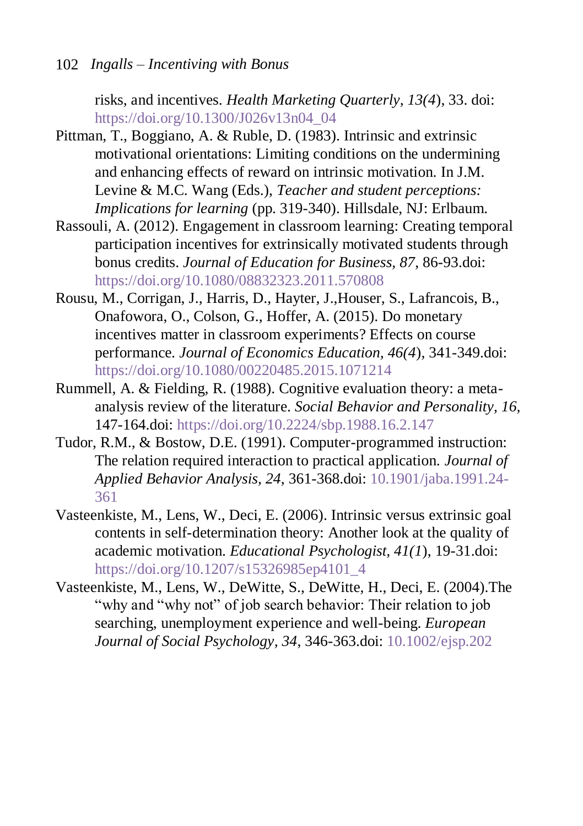risks, and incentives. *Health Marketing Quarterly, 13(4*), 33. doi: [https://doi.org/10.1300/J026v13n04\\_04](https://doi.org/10.1300/J026v13n04_04)

- <span id="page-12-1"></span>Pittman, T., Boggiano, A. & Ruble, D. (1983). Intrinsic and extrinsic motivational orientations: Limiting conditions on the undermining and enhancing effects of reward on intrinsic motivation. In J.M. Levine & M.C. Wang (Eds.), *Teacher and student perceptions: Implications for learning* (pp. 319-340). Hillsdale, NJ: Erlbaum.
- <span id="page-12-3"></span>Rassouli, A. (2012). Engagement in classroom learning: Creating temporal participation incentives for extrinsically motivated students through bonus credits. *Journal of Education for Business, 87*, 86-93.doi: <https://doi.org/10.1080/08832323.2011.570808>
- <span id="page-12-5"></span>Rousu, M., Corrigan, J., Harris, D., Hayter, J.,Houser, S., Lafrancois, B., Onafowora, O., Colson, G., Hoffer, A. (2015). Do monetary incentives matter in classroom experiments? Effects on course performance. *Journal of Economics Education, 46(4*), 341-349.doi: <https://doi.org/10.1080/00220485.2015.1071214>
- <span id="page-12-0"></span>Rummell, A. & Fielding, R. (1988). Cognitive evaluation theory: a metaanalysis review of the literature. *Social Behavior and Personality, 16,* 147-164.doi:<https://doi.org/10.2224/sbp.1988.16.2.147>
- <span id="page-12-6"></span>Tudor, R.M., & Bostow, D.E. (1991). Computer-programmed instruction: The relation required interaction to practical application. *Journal of Applied Behavior Analysis, 24*, 361-368.doi: [10.1901/jaba.1991.24-](http://onlinelibrary.wiley.com/doi/10.1901/jaba.1991.24-361/abstract) [361](http://onlinelibrary.wiley.com/doi/10.1901/jaba.1991.24-361/abstract)
- <span id="page-12-2"></span>Vasteenkiste, M., Lens, W., Deci, E. (2006). Intrinsic versus extrinsic goal contents in self-determination theory: Another look at the quality of academic motivation. *Educational Psychologist, 41(1*), 19-31.doi: [https://doi.org/10.1207/s15326985ep4101\\_4](https://doi.org/10.1207/s15326985ep4101_4)
- <span id="page-12-4"></span>Vasteenkiste, M., Lens, W., DeWitte, S., DeWitte, H., Deci, E. (2004).The "why and "why not" of job search behavior: Their relation to job searching, unemployment experience and well-being. *European Journal of Social Psychology, 34*, 346-363.doi: [10.1002/ejsp.202](http://onlinelibrary.wiley.com/doi/10.1002/ejsp.202/full)